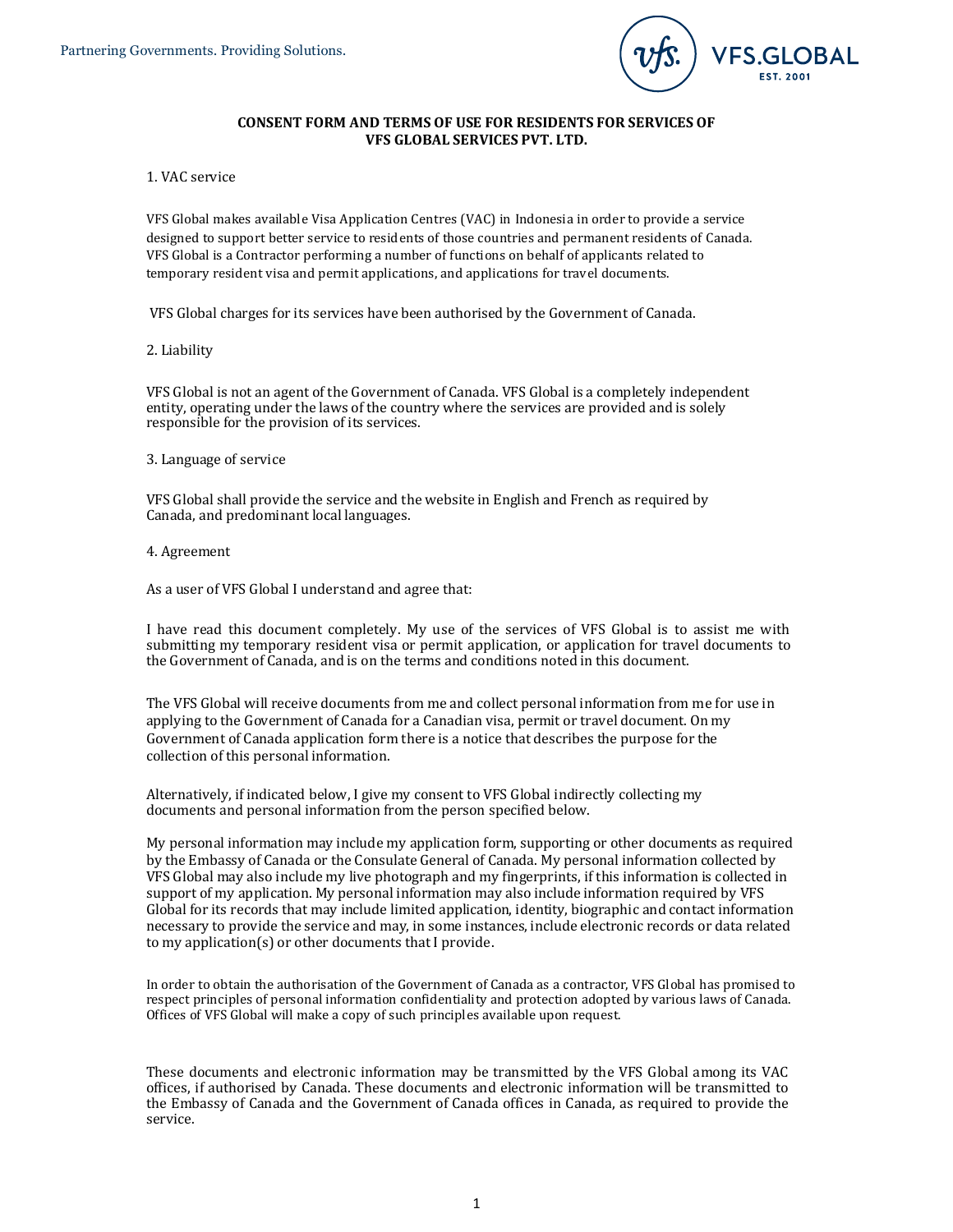

# **CONSENT FORM AND TERMS OF USE FOR RESIDENTS FOR SERVICES OF VFS GLOBAL SERVICES PVT. LTD.**

## 1. VAC service

VFS Global makes available Visa Application Centres (VAC) in Indonesia in order to provide a service designed to support better service to residents of those countries and permanent residents of Canada. VFS Global is a Contractor performing a number of functions on behalf of applicants related to temporary resident visa and permit applications, and applications for travel documents.

VFS Global charges for its services have been authorised by the Government of Canada.

## 2. Liability

VFS Global is not an agent of the Government of Canada. VFS Global is a completely independent entity, operating under the laws of the country where the services are provided and is solely responsible for the provision of its services.

## 3. Language of service

VFS Global shall provide the service and the website in English and French as required by Canada, and predominant local languages.

## 4. Agreement

As a user of VFS Global I understand and agree that:

I have read this document completely. My use of the services of VFS Global is to assist me with submitting my temporary resident visa or permit application, or application for travel documents to the Government of Canada, and is on the terms and conditions noted in this document.

The VFS Global will receive documents from me and collect personal information from me for use in applying to the Government of Canada for a Canadian visa, permit or travel document. On my Government of Canada application form there is a notice that describes the purpose for the collection of this personal information.

Alternatively, if indicated below, I give my consent to VFS Global indirectly collecting my documents and personal information from the person specified below.

My personal information may include my application form, supporting or other documents as required by the Embassy of Canada or the Consulate General of Canada. My personal information collected by VFS Global may also include my live photograph and my fingerprints, if this information is collected in support of my application. My personal information may also include information required by VFS Global for its records that may include limited application, identity, biographic and contact information necessary to provide the service and may, in some instances, include electronic records or data related to my application(s) or other documents that I provide.

In order to obtain the authorisation of the Government of Canada as a contractor, VFS Global has promised to respect principles of personal information confidentiality and protection adopted by various laws of Canada. Offices of VFS Global will make a copy of such principles available upon request.

These documents and electronic information may be transmitted by the VFS Global among its VAC offices, if authorised by Canada. These documents and electronic information will be transmitted to the Embassy of Canada and the Government of Canada offices in Canada, as required to provide the service.